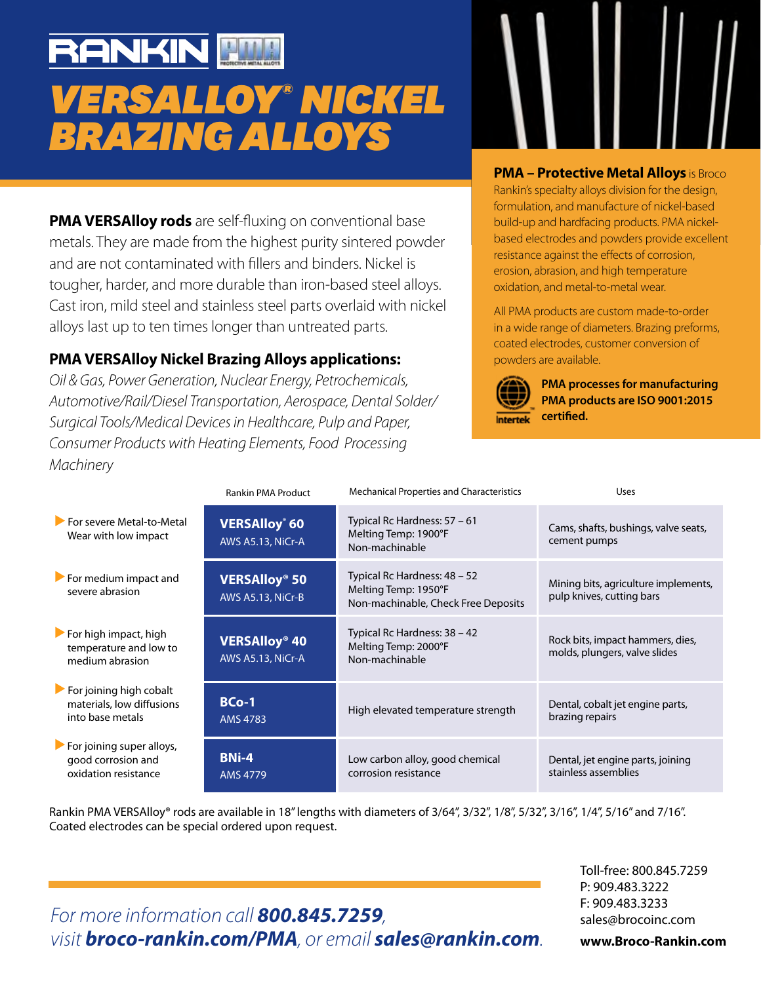# **RANKIN PMH** *VERSALLOY® NICKEL BRAZING ALLOYS*

**PMA VERSAlloy rods** are self-fluxing on conventional base metals. They are made from the highest purity sintered powder and are not contaminated with fillers and binders. Nickel is tougher, harder, and more durable than iron-based steel alloys. Cast iron, mild steel and stainless steel parts overlaid with nickel alloys last up to ten times longer than untreated parts.

# **PMA VERSAlloy Nickel Brazing Alloys applications:**

*Oil & Gas, Power Generation, Nuclear Energy, Petrochemicals, Automotive/Rail/Diesel Transportation, Aerospace, Dental Solder/ Surgical Tools/Medical Devices in Healthcare, Pulp and Paper, Consumer Products with Heating Elements, Food Processing Machinery*

### **PMA – Protective Metal Alloys** is Broco

Rankin's specialty alloys division for the design, formulation, and manufacture of nickel-based build-up and hardfacing products. PMA nickelbased electrodes and powders provide excellent resistance against the effects of corrosion, erosion, abrasion, and high temperature oxidation, and metal-to-metal wear.

All PMA products are custom made-to-order in a wide range of diameters. Brazing preforms, coated electrodes, customer conversion of powders are available.



**PMA processes for manufacturing PMA products are ISO 9001:2015 Intertek** certified.

|                                                                                          | <b>Rankin PMA Product</b>                            | <b>Mechanical Properties and Characteristics</b>                                            | Uses                                                              |
|------------------------------------------------------------------------------------------|------------------------------------------------------|---------------------------------------------------------------------------------------------|-------------------------------------------------------------------|
| For severe Metal-to-Metal<br>Wear with low impact                                        | <b>VERSAlloy</b> 60<br>AWS A5.13, NiCr-A             | Typical Rc Hardness: 57 - 61<br>Melting Temp: 1900°F<br>Non-machinable                      | Cams, shafts, bushings, valve seats,<br>cement pumps              |
| $\blacktriangleright$ For medium impact and<br>severe abrasion                           | <b>VERSAlloy® 50</b><br>AWS A5.13, NiCr-B            | Typical Rc Hardness: 48 - 52<br>Melting Temp: 1950°F<br>Non-machinable, Check Free Deposits | Mining bits, agriculture implements,<br>pulp knives, cutting bars |
| $\blacktriangleright$ For high impact, high<br>temperature and low to<br>medium abrasion | <b>VERSAlloy<sup>®</sup> 40</b><br>AWS A5.13, NiCr-A | Typical Rc Hardness: 38 - 42<br>Melting Temp: 2000°F<br>Non-machinable                      | Rock bits, impact hammers, dies,<br>molds, plungers, valve slides |
| For joining high cobalt<br>materials, low diffusions<br>into base metals                 | $BCo-1$<br>AMS 4783                                  | High elevated temperature strength                                                          | Dental, cobalt jet engine parts,<br>brazing repairs               |
| For joining super alloys,<br>good corrosion and<br>oxidation resistance                  | <b>BNi-4</b><br>AMS 4779                             | Low carbon alloy, good chemical<br>corrosion resistance                                     | Dental, jet engine parts, joining<br>stainless assemblies         |

Rankin PMA VERSAlloy® rods are available in 18" lengths with diameters of 3/64", 3/32", 1/8", 5/32", 3/16", 1/4", 5/16" and 7/16". Coated electrodes can be special ordered upon request.

# *For more information call 800.845.7259, visit broco-rankin.com/PMA, or email sales@rankin.com.*

Toll-free: 800.845.7259 P: 909.483.3222 F: 909.483.3233 sales@brocoinc.com

#### **www.Broco-Rankin.com**